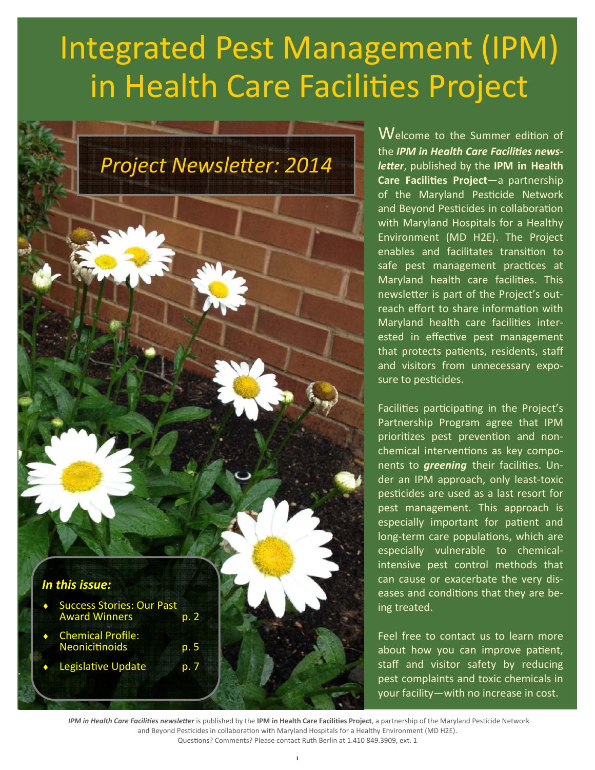# **Integrated Pest Management (IPM)** in Health Care Facilities Project



Welcome to the Summer edition of the **IPM in Health Care Facilities news**letter, published by the IPM in Health Care Facilities Project-a partnership of the Maryland Pesticide Network and Beyond Pesticides in collaboration with Maryland Hospitals for a Healthy Environment (MD H2E). The Project enables and facilitates transition to safe pest management practices at Maryland health care facilities. This newsletter is part of the Project's outreach effort to share information with Maryland health care facilities interested in effective pest management that protects patients, residents, staff and visitors from unnecessary exposure to pesticides.

Facilities participating in the Project's Partnership Program agree that IPM prioritizes pest prevention and nonchemical interventions as key components to *greening* their facilities. Under an IPM approach, only least-toxic pesticides are used as a last resort for pest management. This approach is especially important for patient and long-term care populations, which are especially vulnerable to chemicalintensive pest control methods that can cause or exacerbate the very diseases and conditions that they are being treated.

Feel free to contact us to learn more about how you can improve patient, staff and visitor safety by reducing pest complaints and toxic chemicals in your facility-with no increase in cost.

IPM in Health Care Facilities newsletter is published by the IPM in Health Care Facilities Project, a partnership of the Maryland Pesticide Network and Beyond Pesticides in collaboration with Maryland Hospitals for a Healthy Environment (MD H2E). Questions? Comments? Please contact Ruth Berlin at 1.410 849.3909, ext. 1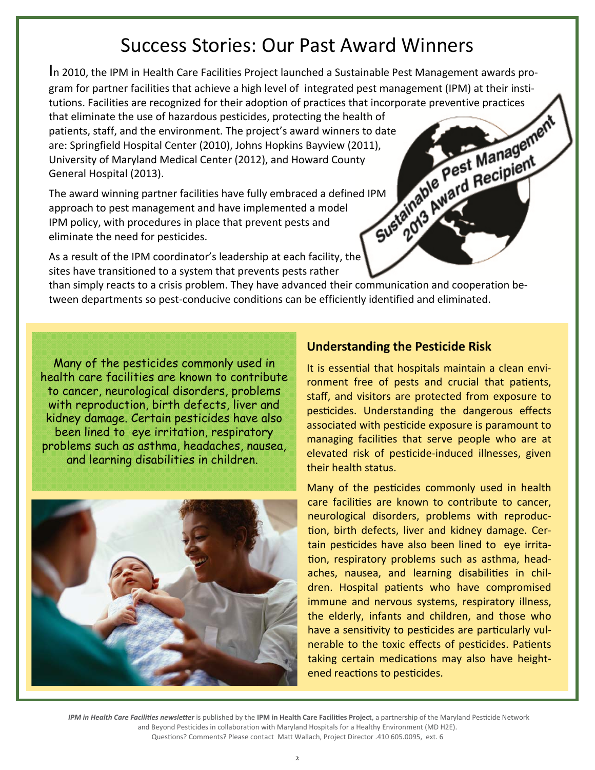# Success Stories: Our Past Award Winners

In 2010, the IPM in Health Care Facilities Project launched a Sustainable Pest Management awards protutions. Facilities are recognized for their adoption of practices that incorporate preventive practices that eliminate the use of hazardous pesticides, protecting the health of

gram for partner facilities that achieve a high level of integrated pest management (IPM) at their institutions. Facilities are recognized for their adoption of practices that incorporate preventive practices that eliminat patients, staff, and the environment. The project's award winners to date are: Springfield Hospital Center (2010), Johns Hopkins Bayview (2011), University of Maryland Medical Center (2012), and Howard County General Hospital (2013).

The award winning partner facilities have fully embraced a defined IPM approach to pest management and have implemented a model IPM policy, with procedures in place that prevent pests and eliminate the need for pesticides.

As a result of the IPM coordinator's leadership at each facility, the sites have transitioned to a system that prevents pests rather

than simply reacts to a crisis problem. They have advanced their communication and cooperation between departments so pest-conducive conditions can be efficiently identified and eliminated.

Many of the pesticides commonly used in health care facilities are known to contribute to cancer, neurological disorders, problems with reproduction, birth defects, liver and kidney damage. Certain pesticides have also been lined to eye irritation, respiratory problems such as asthma, headaches, nausea, and learning disabilities in children.



#### **Understanding the Pesticide Risk**

It is essential that hospitals maintain a clean environment free of pests and crucial that patients, staff, and visitors are protected from exposure to pesticides. Understanding the dangerous effects associated with pesticide exposure is paramount to managing facilities that serve people who are at elevated risk of pesticide-induced illnesses, given their health status.

Many of the pesticides commonly used in health care facilities are known to contribute to cancer, neurological disorders, problems with reproduction, birth defects, liver and kidney damage. Certain pesticides have also been lined to eye irritation, respiratory problems such as asthma, headaches, nausea, and learning disabilities in children. Hospital patients who have compromised immune and nervous systems, respiratory illness, the elderly, infants and children, and those who have a sensitivity to pesticides are particularly vulnerable to the toxic effects of pesticides. Patients taking certain medications may also have heightened reactions to pesticides.

IPM in Health Care Facilities newsletter is published by the IPM in Health Care Facilities Project, a partnership of the Maryland Pesticide Network and Beyond Pesticides in collaboration with Maryland Hospitals for a Healthy Environment (MD H2E). Questions? Comments? Please contact Matt Wallach, Project Director .410 605.0095, ext. 6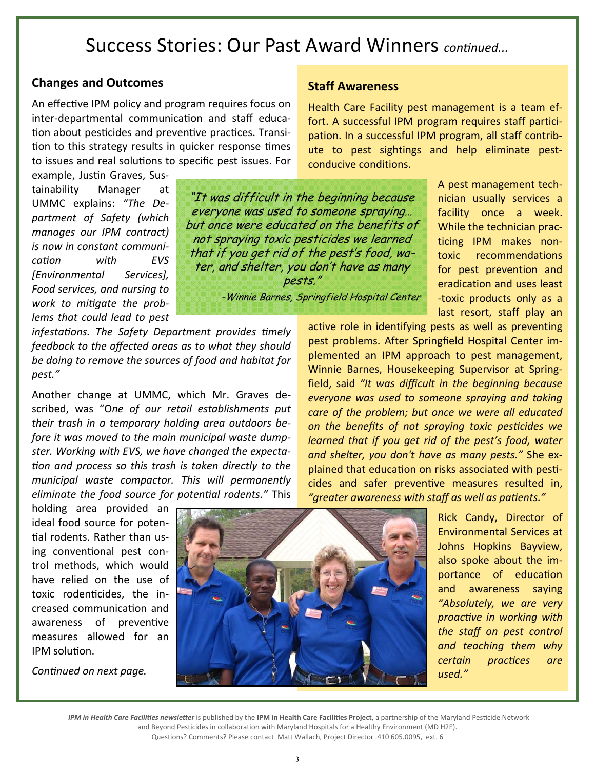### Success Stories: Our Past Award Winners continued...

#### **Changes and Outcomes**

An effective IPM policy and program requires focus on inter-departmental communication and staff education about pesticides and preventive practices. Transition to this strategy results in quicker response times to issues and real solutions to specific pest issues. For

infestations. The Safety Department provides timely

feedback to the affected areas as to what they should

be doing to remove the sources of food and habitat for

Another change at UMMC, which Mr. Graves de-

scribed, was "One of our retail establishments put

their trash in a temporary holding area outdoors be-

fore it was moved to the main municipal waste dump-

ster. Working with EVS, we have changed the expecta-

tion and process so this trash is taken directly to the

municipal waste compactor. This will permanently

eliminate the food source for potential rodents." This

example, Justin Graves, Sustainability Manager at UMMC explains: "The Department of Safety (which manages our IPM contract) is now in constant communication with  $F<sub>V</sub>$ *<u>IEnvironmental</u>* Services<sub>1</sub> Food services, and nursing to work to mitigate the problems that could lead to pest

pest."

"It was difficult in the beginning because everyone was used to someone spraying... but once were educated on the benefits of not spraying toxic pesticides we learned that if you get rid of the pest's food, water, and shelter, you don't have as many pests."

-Winnie Barnes, Springfield Hospital Center

A pest management technician usually services a facility once a week. While the technician practicing IPM makes nontoxic recommendations for pest prevention and eradication and uses least -toxic products only as a last resort, staff play an

active role in identifying pests as well as preventing pest problems. After Springfield Hospital Center implemented an IPM approach to pest management, Winnie Barnes, Housekeeping Supervisor at Springfield, said "It was difficult in the beginning because everyone was used to someone spraying and taking care of the problem; but once we were all educated on the benefits of not spraying toxic pesticides we learned that if you get rid of the pest's food, water and shelter, you don't have as many pests." She explained that education on risks associated with pesticides and safer preventive measures resulted in, "greater awareness with staff as well as patients."

Health Care Facility pest management is a team ef-

fort. A successful IPM program requires staff partici-

pation. In a successful IPM program, all staff contrib-

ute to pest sightings and help eliminate pest-

holding area provided an ideal food source for potential rodents. Rather than using conventional pest control methods, which would have relied on the use of toxic rodenticides, the increased communication and awareness of preventive measures allowed for an IPM solution.

Continued on next page.



Rick Candy, Director of **Environmental Services at** Johns Hopkins Bayview, also spoke about the importance of education and awareness saying "Absolutely, we are very proactive in working with the staff on pest control and teaching them why certain practices  $are$ used."

IPM in Health Care Facilities newsletter is published by the IPM in Health Care Facilities Project, a partnership of the Maryland Pesticide Network and Beyond Pesticides in collaboration with Maryland Hospitals for a Healthy Environment (MD H2E).

Questions? Comments? Please contact Matt Wallach, Project Director .410 605.0095, ext. 6

#### **Staff Awareness**

conducive conditions.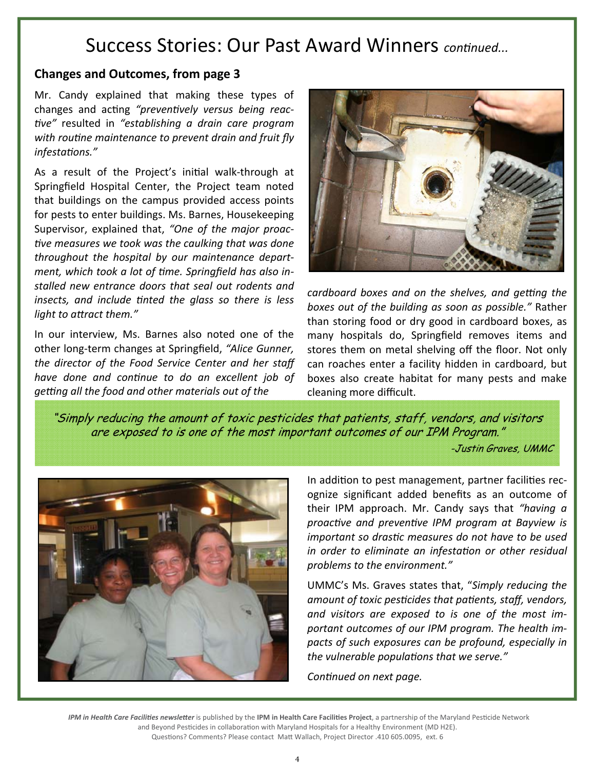# **Success Stories: Our Past Award Winners continued...**

#### **Changes and Outcomes, from page 3**

Mr. Candy explained that making these types of changes and acting "preventively versus being reactive" resulted in "establishing a drain care program with routine maintenance to prevent drain and fruit fly infestations."

As a result of the Project's initial walk-through at Springfield Hospital Center, the Project team noted that buildings on the campus provided access points for pests to enter buildings. Ms. Barnes, Housekeeping Supervisor, explained that, "One of the major proactive measures we took was the caulking that was done throughout the hospital by our maintenance department, which took a lot of time. Springfield has also installed new entrance doors that seal out rodents and insects, and include tinted the glass so there is less light to attract them."

In our interview, Ms. Barnes also noted one of the other long-term changes at Springfield, "Alice Gunner, the director of the Food Service Center and her staff have done and continue to do an excellent job of getting all the food and other materials out of the



cardboard boxes and on the shelves, and getting the boxes out of the building as soon as possible." Rather than storing food or dry good in cardboard boxes, as many hospitals do, Springfield removes items and stores them on metal shelving off the floor. Not only can roaches enter a facility hidden in cardboard, but boxes also create habitat for many pests and make cleaning more difficult.

"Simply reducing the amount of toxic pesticides that patients, staff, vendors, and visitors are exposed to is one of the most important outcomes of our IPM Program."

-Justin Graves, UMMC



In addition to pest management, partner facilities recognize significant added benefits as an outcome of their IPM approach. Mr. Candy says that "having a proactive and preventive IPM program at Bayview is important so drastic measures do not have to be used in order to eliminate an infestation or other residual problems to the environment."

UMMC's Ms. Graves states that, "Simply reducing the amount of toxic pesticides that patients, staff, vendors, and visitors are exposed to is one of the most important outcomes of our IPM program. The health impacts of such exposures can be profound, especially in the vulnerable populations that we serve."

Continued on next page.

IPM in Health Care Facilities newsletter is published by the IPM in Health Care Facilities Project, a partnership of the Maryland Pesticide Network and Beyond Pesticides in collaboration with Maryland Hospitals for a Healthy Environment (MD H2E). Questions? Comments? Please contact Matt Wallach, Project Director .410 605.0095, ext. 6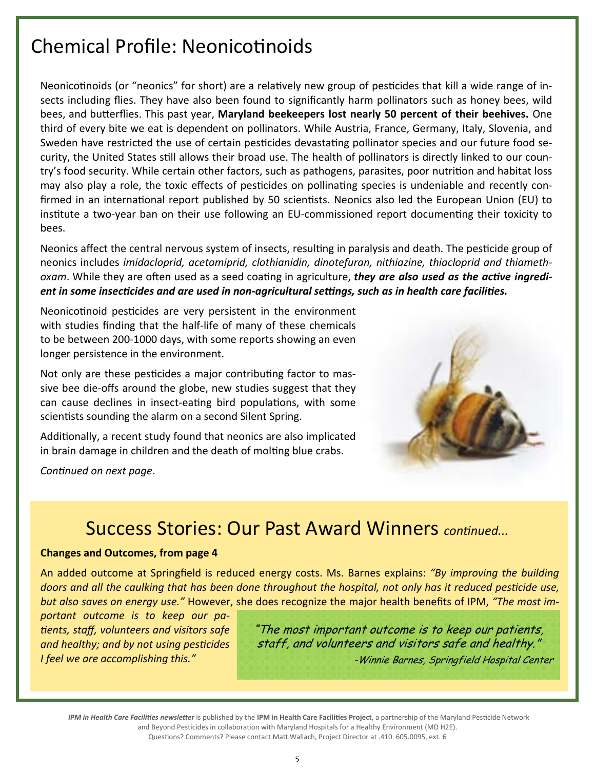# Chemical Profile: NeonicoƟnoids

Neonicotinoids (or "neonics" for short) are a relatively new group of pesticides that kill a wide range of insects including flies. They have also been found to significantly harm pollinators such as honey bees, wild bees, and buƩerflies. This past year, **Maryland beekeepers lost nearly 50 percent of their beehives.** One third of every bite we eat is dependent on pollinators. While Austria, France, Germany, Italy, Slovenia, and Sweden have restricted the use of certain pesticides devastating pollinator species and our future food security, the United States still allows their broad use. The health of pollinators is directly linked to our country's food security. While certain other factors, such as pathogens, parasites, poor nutrition and habitat loss may also play a role, the toxic effects of pesticides on pollinating species is undeniable and recently confirmed in an international report published by 50 scientists. Neonics also led the European Union (EU) to institute a two-year ban on their use following an EU-commissioned report documenting their toxicity to bees.

Neonics affect the central nervous system of insects, resulting in paralysis and death. The pesticide group of neonics includes *imidacloprid, acetamiprid, clothianidin, dinotefuran, nithiazine, thiacloprid and thiameth‐ oxam.* While they are often used as a seed coating in agriculture, *they are also used as the active ingredient in some insecƟcides and are used in non-agricultural seƫngs, such as in health care faciliƟes.* 

Neonicotinoid pesticides are very persistent in the environment with studies finding that the half-life of many of these chemicals to be between 200-1000 days, with some reports showing an even longer persistence in the environment.

Not only are these pesticides a major contributing factor to massive bee die-offs around the globe, new studies suggest that they can cause declines in insect-eating bird populations, with some scientists sounding the alarm on a second Silent Spring.

Additionally, a recent study found that neonics are also implicated in brain damage in children and the death of molting blue crabs.

*ConƟnued on next page*.



# **Success Stories: Our Past Award Winners** *continued...*

#### **Changes and Outcomes, from page 4**

An added outcome at Springfield is reduced energy costs. Ms. Barnes explains: *"By improving the building doors and all the caulking that has been done throughout the hospital, not only has it reduced pesticide use, but also saves on energy use."* However, she does recognize the major health benefits of IPM, *"The most im‐*

*portant outcome is to keep our pa‐ Ɵents, staff, volunteers and visitors safe and healthy; and by not using pesƟcides I feel we are accomplishing this."* 

"The most important outcome is to keep our patients, staff, and volunteers and visitors safe and healthy." -Winnie Barnes, Springfield Hospital Center

IPM in Health Care Facilities newsletter is published by the IPM in Health Care Facilities Project, a partnership of the Maryland Pesticide Network and Beyond Pesticides in collaboration with Maryland Hospitals for a Healthy Environment (MD H2E). Questions? Comments? Please contact Matt Wallach, Project Director at .410 605.0095, ext. 6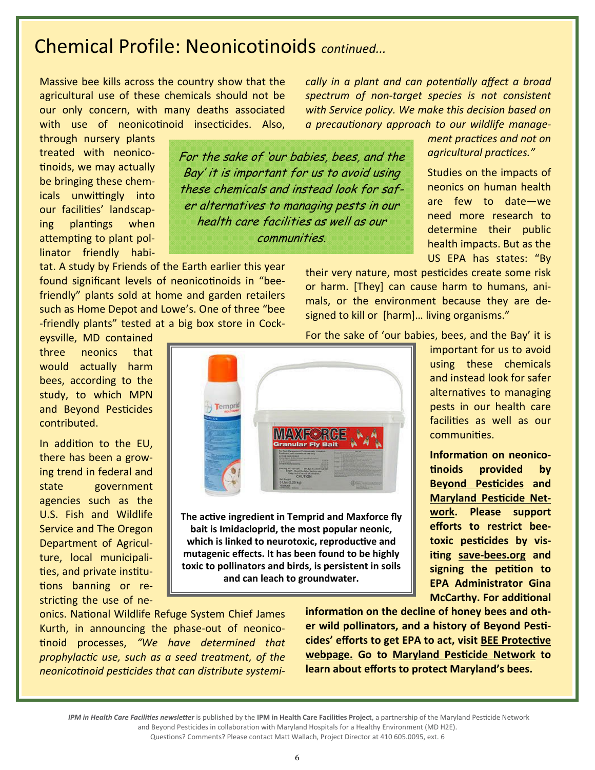### Chemical Profile: Neonicotinoids *continued...*

Massive bee kills across the country show that the agricultural use of these chemicals should not be our only concern, with many deaths associated with use of neonicotinoid insecticides. Also,

through nursery plants treated with neonicotinoids, we may actually be bringing these chemicals unwittingly into our facilities' landscaping plantings when attempting to plant pollinator friendly habi-

tat. A study by Friends of the Earth earlier this year found significant levels of neonicotinoids in "beefriendly" plants sold at home and garden retailers such as Home Depot and Lowe's. One of three "bee -friendly plants" tested at a big box store in Cock-

eysville, MD contained three neonics that would actually harm bees, according to the study, to which MPN and Beyond Pesticides contributed.

In addition to the EU, there has been a growing trend in federal and state government agencies such as the U.S. Fish and Wildlife Service and The Oregon Department of Agriculture, local municipalities, and private institutions banning or restricting the use of neFor the sake of 'our babies, bees, and the Bay' it is important for us to avoid using these chemicals and instead look for safer alternatives to managing pests in our health care facilities as well as our communities.

*cally in a plant and can potenƟally affect a broad spectrum of non‐target species is not consistent with Service policy. We make this decision based on a precauƟonary approach to our wildlife manage‐*

> *ment practices and not on agricultural pracƟces."*

> Studies on the impacts of neonics on human health are few to date—we need more research to determine their public health impacts. But as the US EPA has states: "By

their very nature, most pesticides create some risk or harm. [They] can cause harm to humans, animals, or the environment because they are designed to kill or [harm]... living organisms."

For the sake of 'our babies, bees, and the Bay' it is

using these chemicals and instead look for safer alternatives to managing pests in our health care facilities as well as our communities.

**Information on neonico-Ɵnoids provided by Beyond PesƟcides and Maryland Pesticide Network. Please support efforts to restrict beetoxic pesƟcides by visiƟng save-bees.org and signing the peƟƟon to EPA Administrator Gina McCarthy. For addiƟonal**

**informaƟon on the decline of honey bees and other wild pollinators, and a history of Beyond PesƟcides' efforts to get EPA to act, visit BEE ProtecƟve webpage.** Go to Maryland Pesticide Network to **learn about efforts to protect Maryland's bees.**

onics. National Wildlife Refuge System Chief James Kurth, in announcing the phase-out of neonico-Ɵnoid processes, *"We have determined that prophylacƟc use, such as a seed treatment, of the neonicoƟnoid pesƟcides that can distribute systemi‐*



**bait is Imidacloprid, the most popular neonic, which** is linked to neurotoxic, reproductive and **mutagenic effects. It has been found to be highly toxic to pollinators and birds, is persistent in soils and can leach to groundwater.**